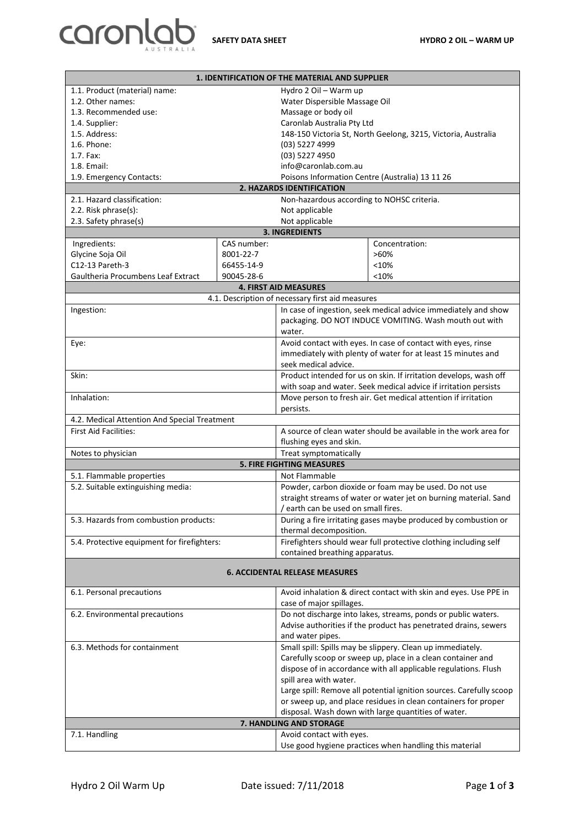

| 1. IDENTIFICATION OF THE MATERIAL AND SUPPLIER                                                                                   |             |                                                                            |                                                                  |  |
|----------------------------------------------------------------------------------------------------------------------------------|-------------|----------------------------------------------------------------------------|------------------------------------------------------------------|--|
| 1.1. Product (material) name:                                                                                                    |             | Hydro 2 Oil - Warm up                                                      |                                                                  |  |
| 1.2. Other names:                                                                                                                |             | Water Dispersible Massage Oil                                              |                                                                  |  |
| 1.3. Recommended use:                                                                                                            |             | Massage or body oil                                                        |                                                                  |  |
| 1.4. Supplier:                                                                                                                   |             | Caronlab Australia Pty Ltd                                                 |                                                                  |  |
| 1.5. Address:                                                                                                                    |             | 148-150 Victoria St, North Geelong, 3215, Victoria, Australia              |                                                                  |  |
| 1.6. Phone:                                                                                                                      |             | (03) 5227 4999                                                             |                                                                  |  |
| $1.7.$ Fax:                                                                                                                      |             | (03) 5227 4950                                                             |                                                                  |  |
| 1.8. Email:                                                                                                                      |             | info@caronlab.com.au                                                       |                                                                  |  |
| 1.9. Emergency Contacts:                                                                                                         |             |                                                                            | Poisons Information Centre (Australia) 13 11 26                  |  |
| 2. HAZARDS IDENTIFICATION<br>2.1. Hazard classification:<br>Non-hazardous according to NOHSC criteria.                           |             |                                                                            |                                                                  |  |
| 2.2. Risk phrase(s):                                                                                                             |             | Not applicable                                                             |                                                                  |  |
| 2.3. Safety phrase(s)                                                                                                            |             | Not applicable                                                             |                                                                  |  |
| <b>3. INGREDIENTS</b>                                                                                                            |             |                                                                            |                                                                  |  |
| Ingredients:                                                                                                                     | CAS number: |                                                                            | Concentration:                                                   |  |
| Glycine Soja Oil                                                                                                                 | 8001-22-7   |                                                                            | $>60\%$                                                          |  |
| C12-13 Pareth-3                                                                                                                  | 66455-14-9  |                                                                            | < 10%                                                            |  |
| Gaultheria Procumbens Leaf Extract                                                                                               | 90045-28-6  |                                                                            | < 10%                                                            |  |
|                                                                                                                                  |             | <b>4. FIRST AID MEASURES</b>                                               |                                                                  |  |
|                                                                                                                                  |             |                                                                            |                                                                  |  |
| 4.1. Description of necessary first aid measures<br>In case of ingestion, seek medical advice immediately and show<br>Ingestion: |             |                                                                            |                                                                  |  |
|                                                                                                                                  |             | packaging. DO NOT INDUCE VOMITING. Wash mouth out with<br>water.           |                                                                  |  |
| Eye:                                                                                                                             |             | Avoid contact with eyes. In case of contact with eyes, rinse               |                                                                  |  |
|                                                                                                                                  |             | immediately with plenty of water for at least 15 minutes and               |                                                                  |  |
|                                                                                                                                  |             | seek medical advice.                                                       |                                                                  |  |
| Skin:                                                                                                                            |             | Product intended for us on skin. If irritation develops, wash off          |                                                                  |  |
|                                                                                                                                  |             | with soap and water. Seek medical advice if irritation persists            |                                                                  |  |
| Inhalation:                                                                                                                      |             | Move person to fresh air. Get medical attention if irritation<br>persists. |                                                                  |  |
| 4.2. Medical Attention And Special Treatment                                                                                     |             |                                                                            |                                                                  |  |
| <b>First Aid Facilities:</b>                                                                                                     |             |                                                                            | A source of clean water should be available in the work area for |  |
|                                                                                                                                  |             | flushing eyes and skin.                                                    |                                                                  |  |
| Treat symptomatically<br>Notes to physician                                                                                      |             |                                                                            |                                                                  |  |
|                                                                                                                                  |             | <b>5. FIRE FIGHTING MEASURES</b>                                           |                                                                  |  |
| 5.1. Flammable properties                                                                                                        |             | Not Flammable                                                              |                                                                  |  |
| 5.2. Suitable extinguishing media:                                                                                               |             | Powder, carbon dioxide or foam may be used. Do not use                     |                                                                  |  |
|                                                                                                                                  |             | straight streams of water or water jet on burning material. Sand           |                                                                  |  |
|                                                                                                                                  |             | / earth can be used on small fires.                                        |                                                                  |  |
| 5.3. Hazards from combustion products:                                                                                           |             | During a fire irritating gases maybe produced by combustion or             |                                                                  |  |
|                                                                                                                                  |             | thermal decomposition.                                                     |                                                                  |  |
| 5.4. Protective equipment for firefighters:                                                                                      |             | Firefighters should wear full protective clothing including self           |                                                                  |  |
|                                                                                                                                  |             | contained breathing apparatus.                                             |                                                                  |  |
| <b>6. ACCIDENTAL RELEASE MEASURES</b>                                                                                            |             |                                                                            |                                                                  |  |
| 6.1. Personal precautions                                                                                                        |             |                                                                            | Avoid inhalation & direct contact with skin and eyes. Use PPE in |  |
|                                                                                                                                  |             | case of major spillages.                                                   |                                                                  |  |
| 6.2. Environmental precautions                                                                                                   |             | Do not discharge into lakes, streams, ponds or public waters.              |                                                                  |  |
|                                                                                                                                  |             | Advise authorities if the product has penetrated drains, sewers            |                                                                  |  |
|                                                                                                                                  |             | and water pipes.                                                           |                                                                  |  |
| 6.3. Methods for containment                                                                                                     |             | Small spill: Spills may be slippery. Clean up immediately.                 |                                                                  |  |
|                                                                                                                                  |             | Carefully scoop or sweep up, place in a clean container and                |                                                                  |  |
|                                                                                                                                  |             | dispose of in accordance with all applicable regulations. Flush            |                                                                  |  |
|                                                                                                                                  |             | spill area with water.                                                     |                                                                  |  |
|                                                                                                                                  |             | Large spill: Remove all potential ignition sources. Carefully scoop        |                                                                  |  |
|                                                                                                                                  |             | or sweep up, and place residues in clean containers for proper             |                                                                  |  |
|                                                                                                                                  |             |                                                                            | disposal. Wash down with large quantities of water.              |  |
| 7. HANDLING AND STORAGE                                                                                                          |             |                                                                            |                                                                  |  |
| 7.1. Handling<br>Avoid contact with eyes.                                                                                        |             |                                                                            |                                                                  |  |
|                                                                                                                                  |             |                                                                            | Use good hygiene practices when handling this material           |  |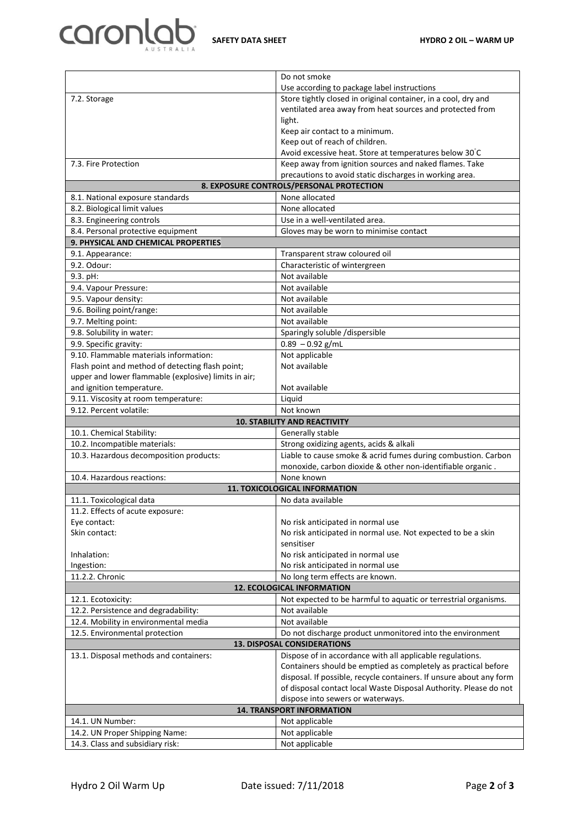

|                                                                                                     | Do not smoke                                                        |  |  |
|-----------------------------------------------------------------------------------------------------|---------------------------------------------------------------------|--|--|
|                                                                                                     | Use according to package label instructions                         |  |  |
| 7.2. Storage                                                                                        | Store tightly closed in original container, in a cool, dry and      |  |  |
|                                                                                                     | ventilated area away from heat sources and protected from           |  |  |
|                                                                                                     | light.                                                              |  |  |
|                                                                                                     | Keep air contact to a minimum.                                      |  |  |
|                                                                                                     | Keep out of reach of children.                                      |  |  |
|                                                                                                     | Avoid excessive heat. Store at temperatures below 30°C              |  |  |
| 7.3. Fire Protection                                                                                | Keep away from ignition sources and naked flames. Take              |  |  |
| precautions to avoid static discharges in working area.<br>8. EXPOSURE CONTROLS/PERSONAL PROTECTION |                                                                     |  |  |
| None allocated                                                                                      |                                                                     |  |  |
| 8.1. National exposure standards                                                                    | None allocated                                                      |  |  |
| 8.2. Biological limit values<br>8.3. Engineering controls                                           | Use in a well-ventilated area.                                      |  |  |
| 8.4. Personal protective equipment                                                                  | Gloves may be worn to minimise contact                              |  |  |
| 9. PHYSICAL AND CHEMICAL PROPERTIES                                                                 |                                                                     |  |  |
| 9.1. Appearance:                                                                                    | Transparent straw coloured oil                                      |  |  |
| 9.2. Odour:                                                                                         | Characteristic of wintergreen                                       |  |  |
| 9.3. pH:                                                                                            | Not available                                                       |  |  |
| 9.4. Vapour Pressure:                                                                               | Not available                                                       |  |  |
| 9.5. Vapour density:                                                                                | Not available                                                       |  |  |
| 9.6. Boiling point/range:                                                                           | Not available                                                       |  |  |
| 9.7. Melting point:                                                                                 | Not available                                                       |  |  |
| 9.8. Solubility in water:                                                                           | Sparingly soluble /dispersible                                      |  |  |
| 9.9. Specific gravity:                                                                              | $0.89 - 0.92$ g/mL                                                  |  |  |
| 9.10. Flammable materials information:                                                              | Not applicable                                                      |  |  |
| Flash point and method of detecting flash point;                                                    | Not available                                                       |  |  |
| upper and lower flammable (explosive) limits in air;                                                |                                                                     |  |  |
| and ignition temperature.                                                                           | Not available                                                       |  |  |
| 9.11. Viscosity at room temperature:                                                                | Liquid                                                              |  |  |
| 9.12. Percent volatile:                                                                             | Not known                                                           |  |  |
| <b>10. STABILITY AND REACTIVITY</b>                                                                 |                                                                     |  |  |
| 10.1. Chemical Stability:                                                                           | Generally stable                                                    |  |  |
| 10.2. Incompatible materials:                                                                       | Strong oxidizing agents, acids & alkali                             |  |  |
| 10.3. Hazardous decomposition products:                                                             | Liable to cause smoke & acrid fumes during combustion. Carbon       |  |  |
|                                                                                                     | monoxide, carbon dioxide & other non-identifiable organic.          |  |  |
| 10.4. Hazardous reactions:                                                                          | None known                                                          |  |  |
| <b>11. TOXICOLOGICAL INFORMATION</b>                                                                |                                                                     |  |  |
|                                                                                                     |                                                                     |  |  |
| 11.1. Toxicological data                                                                            | No data available                                                   |  |  |
|                                                                                                     |                                                                     |  |  |
| 11.2. Effects of acute exposure:<br>Eye contact:                                                    | No risk anticipated in normal use                                   |  |  |
| Skin contact:                                                                                       | No risk anticipated in normal use. Not expected to be a skin        |  |  |
|                                                                                                     | sensitiser                                                          |  |  |
| Inhalation:                                                                                         | No risk anticipated in normal use                                   |  |  |
| Ingestion:                                                                                          | No risk anticipated in normal use                                   |  |  |
| 11.2.2. Chronic                                                                                     | No long term effects are known.                                     |  |  |
|                                                                                                     | <b>12. ECOLOGICAL INFORMATION</b>                                   |  |  |
| 12.1. Ecotoxicity:                                                                                  | Not expected to be harmful to aquatic or terrestrial organisms.     |  |  |
| 12.2. Persistence and degradability:                                                                | Not available                                                       |  |  |
| 12.4. Mobility in environmental media                                                               | Not available                                                       |  |  |
| 12.5. Environmental protection                                                                      | Do not discharge product unmonitored into the environment           |  |  |
|                                                                                                     | 13. DISPOSAL CONSIDERATIONS                                         |  |  |
| 13.1. Disposal methods and containers:                                                              | Dispose of in accordance with all applicable regulations.           |  |  |
|                                                                                                     | Containers should be emptied as completely as practical before      |  |  |
|                                                                                                     | disposal. If possible, recycle containers. If unsure about any form |  |  |
|                                                                                                     | of disposal contact local Waste Disposal Authority. Please do not   |  |  |
|                                                                                                     | dispose into sewers or waterways.                                   |  |  |
|                                                                                                     | <b>14. TRANSPORT INFORMATION</b>                                    |  |  |
| 14.1. UN Number:                                                                                    | Not applicable                                                      |  |  |
| 14.2. UN Proper Shipping Name:<br>14.3. Class and subsidiary risk:                                  | Not applicable<br>Not applicable                                    |  |  |